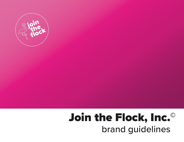

# Join the Flock, Inc.© brand guidelines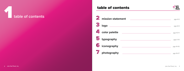2 Join the Flock, Inc. Join the Flock, Inc.

**2** mi 234567 *<u>B* log</u> **color palette 5** typ **ico**  $\overline{\phantom{a}}$ ph





| ission statement                                                                                                                 | pgs 4-5   |
|----------------------------------------------------------------------------------------------------------------------------------|-----------|
| go<br><u> Alexandria de la contrada de la contrada de la contrada de la contrada de la contrada de la contrada de la c</u>       | pgs 6-9   |
| <b>Ior palette</b>                                                                                                               | pgs 10-11 |
| pography<br><u> Andreas Andreas Andreas Andreas Andreas Andreas Andreas Andreas Andreas Andreas Andreas Andreas Andreas Andr</u> | pgs 2-13  |
| onography                                                                                                                        | pgs 14-15 |
| <b>notography</b>                                                                                                                | pgs 16-17 |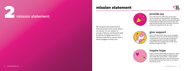We recognize the emotional and financial burdens that cancer places on a family. It is our mission to provide a little joy and financial relief by gifting mortgage payments to families impacted by cancer, often a family's biggest monthly cost.



We understand the difficulties and burdens cancer presents to these families. Through this gift, we honor their resilience and determination as they fight the fight each and every day. We hope this gift brings them the peace of mind to continue to experience the joy in life.

#### **provide joy**

Life is infinitely better when we do it together. Therefore, we aim to provide financial support to each family not just through the gifting of a mortgage payment, but also through the network we have created that inspires these families through their fight.



Inspire a family whose bills are piling up. Inspire a family to get away together. Inspire a family who needs their spirits lifted. These families are our biggest inspiration, and we hope to pay forward the influence they have on our lives in everything we do.

#### **give support**

#### **inspire hope**

# mission statement







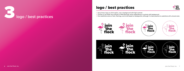# logo / best practices



• Use primary logo as a first option, over a background with high contrast.<br>• Choose to use either the outlined or filled flamingo vector depending on contrast with background.





- 
- 
- 



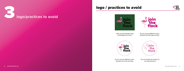# logo / practices to avoid





Little contrast between logo and background colors.



Do not use two different colors between the flamingo and text



Do not use two different colors between the circle and logo



Do not change the location of any logo elements



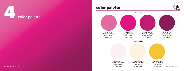### color palette



10 Join the Flock, Inc. Join the Flock, Inc. 11 HEX#:df6ba1 R:223, G:107, B:161 C:8%, M:72%, Y:5%, K:0% HEX#:fdeff5 R:253, G:239, B:245 C:0%, M:7%, Y:0%, K:0% HEX#:fff2dd R:255, G:242, B:221 C:0%, M:4%, Y:13%, K:0% HEX#:f2c434 R:242, G:196, B:52 C:5%, M:22%, Y:91%, K:0% HEX#:e21381 R:226, G:19, B:129 C:5%, M:99%, Y:11%, K:0% HEX#:c01d71 R:192, G:29, B:113 C:23%, M:100%, Y:27%, K:1% HEX#:891c56 R:137, G:28, B:86 C:40%, M:100%, Y:40%, K:20% main colors accent colors

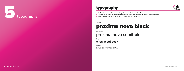# typography



# proxima nova black

# **proxima nova semibold**

circular std book

*times new roman italics*

*headline*



*sub-headline*

*body*

*captions*

• The headline should always be the largest, followed by the sub-headline and body copy.





- 
- 
-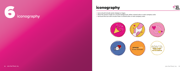• Icons should include vector designs or logos.

• Place the vectors inside of a circular background, either a brand color or main company color.

• Surround the icon with circular lines in a brand color or main company color.







- 
- 
- 

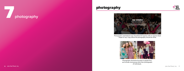## photography





Photographs used behind copy should be full opacity with an opacity black shape on top. Copy above the photography should be white.



Photographs should be focused on people first, and include more group shots than photographs of individuals.

# 7 **photography**